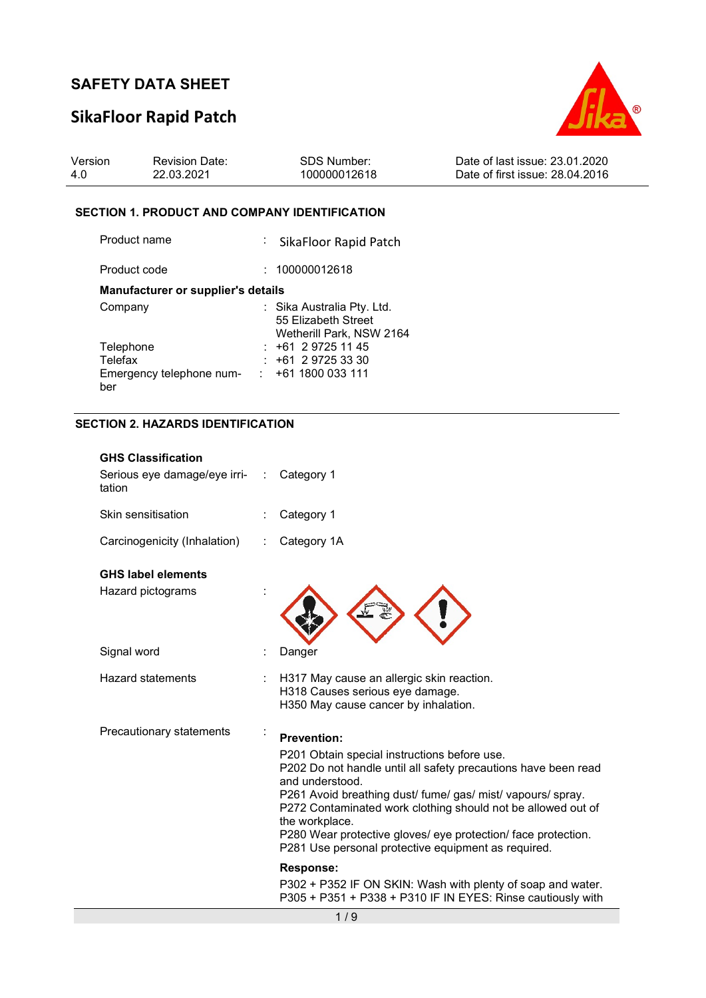# SikaFloor Rapid Patch



| Version | <b>Revision Date:</b> | SDS Number:  | Date of last issue: 23.01.2020  |
|---------|-----------------------|--------------|---------------------------------|
| 4.0     | 22.03.2021            | 100000012618 | Date of first issue: 28.04.2016 |

#### SECTION 1. PRODUCT AND COMPANY IDENTIFICATION

| Product name                       | : SikaFloor Rapid Patch                                                       |
|------------------------------------|-------------------------------------------------------------------------------|
| Product code                       | : 100000012618                                                                |
| Manufacturer or supplier's details |                                                                               |
| Company                            | : Sika Australia Pty. Ltd.<br>55 Elizabeth Street<br>Wetherill Park, NSW 2164 |
| Telephone                          | $: +61297251145$                                                              |
| Telefax                            | $: +61297253330$                                                              |
| Emergency telephone num-           | $: +611800033111$                                                             |
| ber                                |                                                                               |

### SECTION 2. HAZARDS IDENTIFICATION

| <b>GHS Classification</b><br>Serious eye damage/eye irri-<br>tation | ÷ | Category 1                                                                                                                                                                                                                                                                                                                                                                                                                       |
|---------------------------------------------------------------------|---|----------------------------------------------------------------------------------------------------------------------------------------------------------------------------------------------------------------------------------------------------------------------------------------------------------------------------------------------------------------------------------------------------------------------------------|
| Skin sensitisation                                                  |   | Category 1                                                                                                                                                                                                                                                                                                                                                                                                                       |
| Carcinogenicity (Inhalation)                                        |   | Category 1A                                                                                                                                                                                                                                                                                                                                                                                                                      |
| <b>GHS label elements</b><br>Hazard pictograms                      |   |                                                                                                                                                                                                                                                                                                                                                                                                                                  |
| Signal word                                                         |   | Danger                                                                                                                                                                                                                                                                                                                                                                                                                           |
| <b>Hazard statements</b>                                            |   | H317 May cause an allergic skin reaction.<br>H318 Causes serious eye damage.<br>H350 May cause cancer by inhalation.                                                                                                                                                                                                                                                                                                             |
| Precautionary statements                                            |   | <b>Prevention:</b><br>P201 Obtain special instructions before use.<br>P202 Do not handle until all safety precautions have been read<br>and understood.<br>P261 Avoid breathing dust/ fume/ gas/ mist/ vapours/ spray.<br>P272 Contaminated work clothing should not be allowed out of<br>the workplace.<br>P280 Wear protective gloves/ eye protection/ face protection.<br>P281 Use personal protective equipment as required. |
|                                                                     |   | <b>Response:</b><br>P302 + P352 IF ON SKIN: Wash with plenty of soap and water.                                                                                                                                                                                                                                                                                                                                                  |
|                                                                     |   | P305 + P351 + P338 + P310 IF IN EYES: Rinse cautiously with                                                                                                                                                                                                                                                                                                                                                                      |
|                                                                     |   | 1/9                                                                                                                                                                                                                                                                                                                                                                                                                              |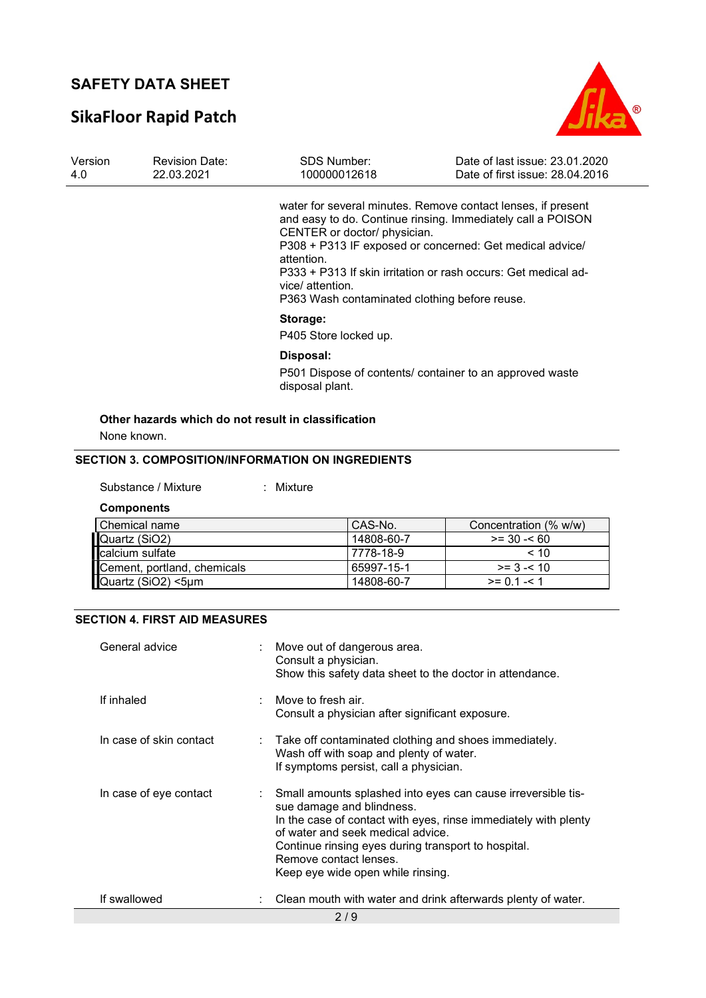# SikaFloor Rapid Patch



| Version<br>4.0 | <b>Revision Date:</b><br>22.03.2021 | SDS Number:<br>100000012618                                                                                     | Date of last issue: 23.01.2020<br>Date of first issue: 28.04.2016                                                                                                                                                                                         |
|----------------|-------------------------------------|-----------------------------------------------------------------------------------------------------------------|-----------------------------------------------------------------------------------------------------------------------------------------------------------------------------------------------------------------------------------------------------------|
|                |                                     | CENTER or doctor/ physician.<br>attention.<br>vice/ attention.<br>P363 Wash contaminated clothing before reuse. | water for several minutes. Remove contact lenses, if present<br>and easy to do. Continue rinsing. Immediately call a POISON<br>P308 + P313 IF exposed or concerned: Get medical advice/<br>P333 + P313 If skin irritation or rash occurs: Get medical ad- |
|                |                                     | Storage:<br>P405 Store locked up.                                                                               |                                                                                                                                                                                                                                                           |
|                |                                     | Disposal:<br>disposal plant.                                                                                    | P501 Dispose of contents/ container to an approved waste                                                                                                                                                                                                  |

### Other hazards which do not result in classification

None known.

### SECTION 3. COMPOSITION/INFORMATION ON INGREDIENTS

| Substance / Mixture |  | Mixture |
|---------------------|--|---------|
|---------------------|--|---------|

**Components** 

| Chemical name                                                                         | CAS-No.    | Concentration (% w/w) |
|---------------------------------------------------------------------------------------|------------|-----------------------|
|                                                                                       | 14808-60-7 | $>= 30 - 60$          |
|                                                                                       | 7778-18-9  | < 10                  |
|                                                                                       | 65997-15-1 | $>= 3 - 10$           |
| Quartz (SiO2)<br>calcium sulfate<br>Cement, portland, chemicals<br>Quartz (SiO2) <5µm | 14808-60-7 | $>= 0.1 - 1.1$        |

#### SECTION 4. FIRST AID MEASURES

| General advice          | : Move out of dangerous area.<br>Consult a physician.<br>Show this safety data sheet to the doctor in attendance.                                                                                                                                                                                                       |
|-------------------------|-------------------------------------------------------------------------------------------------------------------------------------------------------------------------------------------------------------------------------------------------------------------------------------------------------------------------|
| If inhaled              | : Move to fresh air.<br>Consult a physician after significant exposure.                                                                                                                                                                                                                                                 |
| In case of skin contact | $\therefore$ Take off contaminated clothing and shoes immediately.<br>Wash off with soap and plenty of water.<br>If symptoms persist, call a physician.                                                                                                                                                                 |
| In case of eye contact  | Small amounts splashed into eyes can cause irreversible tis-<br>sue damage and blindness.<br>In the case of contact with eyes, rinse immediately with plenty<br>of water and seek medical advice.<br>Continue rinsing eyes during transport to hospital.<br>Remove contact lenses.<br>Keep eye wide open while rinsing. |
| If swallowed            | Clean mouth with water and drink afterwards plenty of water.                                                                                                                                                                                                                                                            |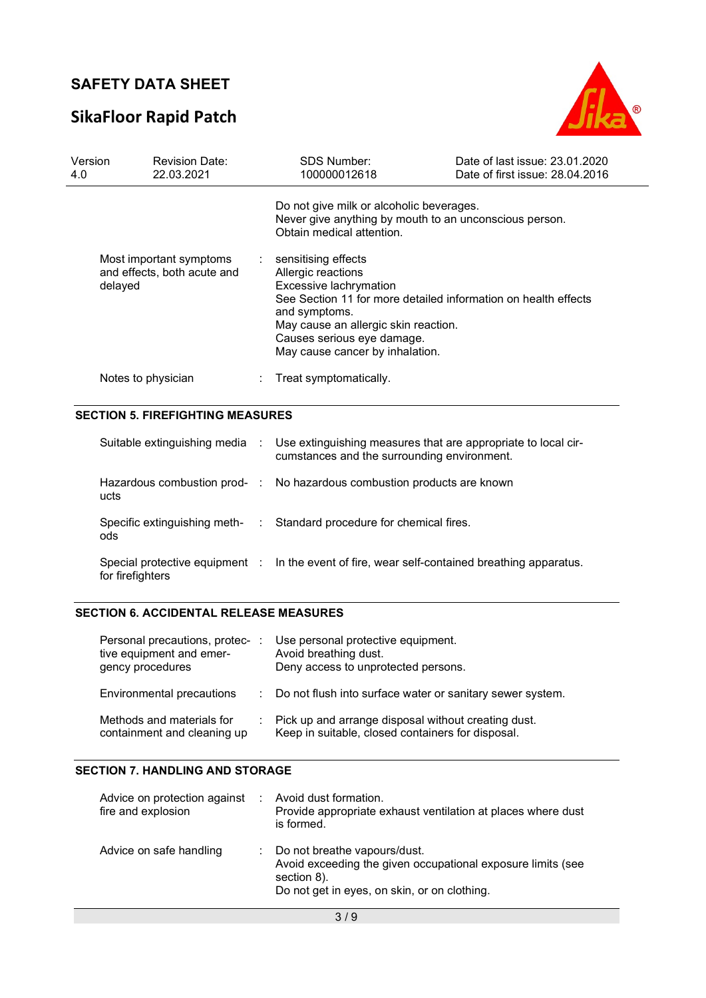# SikaFloor Rapid Patch



| Version<br>4.0 | <b>Revision Date:</b><br>22.03.2021                               |  | <b>SDS Number:</b><br>100000012618                                                                                                                                                                      | Date of last issue: 23.01.2020<br>Date of first issue: 28.04.2016 |  |  |
|----------------|-------------------------------------------------------------------|--|---------------------------------------------------------------------------------------------------------------------------------------------------------------------------------------------------------|-------------------------------------------------------------------|--|--|
|                |                                                                   |  | Do not give milk or alcoholic beverages.<br>Never give anything by mouth to an unconscious person.<br>Obtain medical attention.                                                                         |                                                                   |  |  |
|                | Most important symptoms<br>and effects, both acute and<br>delayed |  | sensitising effects<br>$\sim$<br>Allergic reactions<br>Excessive lachrymation<br>and symptoms.<br>May cause an allergic skin reaction.<br>Causes serious eye damage.<br>May cause cancer by inhalation. | See Section 11 for more detailed information on health effects    |  |  |
|                | Notes to physician                                                |  | Treat symptomatically.                                                                                                                                                                                  |                                                                   |  |  |

|                  | Suitable extinguishing media : Use extinguishing measures that are appropriate to local cir-<br>cumstances and the surrounding environment. |
|------------------|---------------------------------------------------------------------------------------------------------------------------------------------|
| ucts             | Hazardous combustion prod- : No hazardous combustion products are known                                                                     |
| ods              | Specific extinguishing meth- : Standard procedure for chemical fires.                                                                       |
| for firefighters | Special protective equipment : In the event of fire, wear self-contained breathing apparatus.                                               |

### SECTION 6. ACCIDENTAL RELEASE MEASURES

| Personal precautions, protec-<br>tive equipment and emer-<br>gency procedures | Use personal protective equipment.<br>Avoid breathing dust.<br>Deny access to unprotected persons.         |
|-------------------------------------------------------------------------------|------------------------------------------------------------------------------------------------------------|
| Environmental precautions                                                     | : Do not flush into surface water or sanitary sewer system.                                                |
| Methods and materials for<br>containment and cleaning up                      | : Pick up and arrange disposal without creating dust.<br>Keep in suitable, closed containers for disposal. |

#### SECTION 7. HANDLING AND STORAGE

| Advice on protection against<br>fire and explosion | Avoid dust formation.<br>Provide appropriate exhaust ventilation at places where dust<br>is formed.                                                          |
|----------------------------------------------------|--------------------------------------------------------------------------------------------------------------------------------------------------------------|
| Advice on safe handling                            | : Do not breathe vapours/dust.<br>Avoid exceeding the given occupational exposure limits (see<br>section 8).<br>Do not get in eyes, on skin, or on clothing. |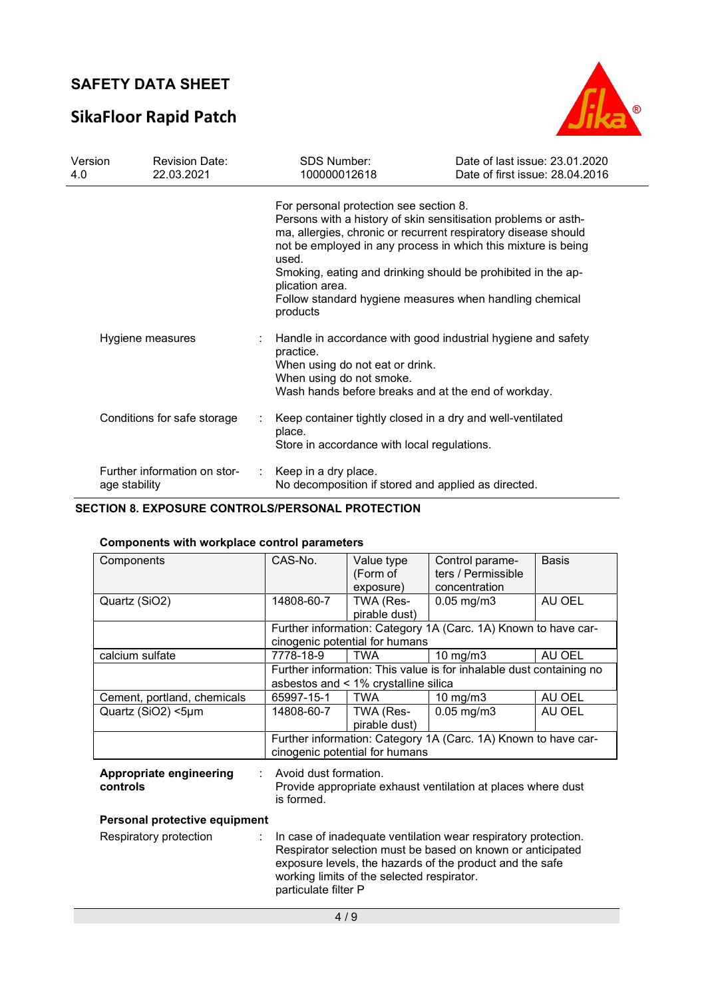# SikaFloor Rapid Patch



| Version<br>4.0 | <b>Revision Date:</b><br>22.03.2021           | <b>SDS Number:</b><br>100000012618                                                                                                                                                                                                                                                                                                                                                                             | Date of last issue: 23.01.2020<br>Date of first issue: 28.04.2016 |
|----------------|-----------------------------------------------|----------------------------------------------------------------------------------------------------------------------------------------------------------------------------------------------------------------------------------------------------------------------------------------------------------------------------------------------------------------------------------------------------------------|-------------------------------------------------------------------|
|                |                                               | For personal protection see section 8.<br>Persons with a history of skin sensitisation problems or asth-<br>ma, allergies, chronic or recurrent respiratory disease should<br>not be employed in any process in which this mixture is being<br>used.<br>Smoking, eating and drinking should be prohibited in the ap-<br>plication area.<br>Follow standard hygiene measures when handling chemical<br>products |                                                                   |
|                | Hygiene measures                              | Handle in accordance with good industrial hygiene and safety<br>practice.<br>When using do not eat or drink.<br>When using do not smoke.<br>Wash hands before breaks and at the end of workday.                                                                                                                                                                                                                |                                                                   |
|                | Conditions for safe storage                   | Keep container tightly closed in a dry and well-ventilated<br>place.<br>Store in accordance with local regulations.                                                                                                                                                                                                                                                                                            |                                                                   |
|                | Further information on stor-<br>age stability | Keep in a dry place.<br>No decomposition if stored and applied as directed.                                                                                                                                                                                                                                                                                                                                    |                                                                   |

### SECTION 8. EXPOSURE CONTROLS/PERSONAL PROTECTION

### Components with workplace control parameters

| Components                                 | CAS-No.                                                                                             | Value type                                 | Control parame-                                                                                                                                                                          | <b>Basis</b> |
|--------------------------------------------|-----------------------------------------------------------------------------------------------------|--------------------------------------------|------------------------------------------------------------------------------------------------------------------------------------------------------------------------------------------|--------------|
|                                            |                                                                                                     | (Form of                                   | ters / Permissible                                                                                                                                                                       |              |
|                                            |                                                                                                     | exposure)                                  | concentration                                                                                                                                                                            |              |
| Quartz (SiO2)                              | 14808-60-7                                                                                          | TWA (Res-                                  | $0.05$ mg/m $3$                                                                                                                                                                          | AU OEL       |
|                                            |                                                                                                     | pirable dust)                              |                                                                                                                                                                                          |              |
|                                            |                                                                                                     |                                            | Further information: Category 1A (Carc. 1A) Known to have car-                                                                                                                           |              |
|                                            |                                                                                                     | cinogenic potential for humans             |                                                                                                                                                                                          |              |
| calcium sulfate                            | 7778-18-9                                                                                           | <b>TWA</b>                                 | $10 \text{ mg/m}$                                                                                                                                                                        | AU OEL       |
|                                            |                                                                                                     | asbestos and < 1% crystalline silica       | Further information: This value is for inhalable dust containing no                                                                                                                      |              |
| Cement, portland, chemicals                | 65997-15-1                                                                                          | <b>TWA</b>                                 | $10 \text{ mg/m}$ 3                                                                                                                                                                      | AU OEL       |
| Quartz (SiO2) <5µm                         | 14808-60-7                                                                                          | TWA (Res-                                  | $0.05$ mg/m $3$                                                                                                                                                                          | AU OEL       |
|                                            |                                                                                                     | pirable dust)                              |                                                                                                                                                                                          |              |
|                                            |                                                                                                     |                                            | Further information: Category 1A (Carc. 1A) Known to have car-                                                                                                                           |              |
|                                            |                                                                                                     | cinogenic potential for humans             |                                                                                                                                                                                          |              |
| <b>Appropriate engineering</b><br>controls | Avoid dust formation.<br>Provide appropriate exhaust ventilation at places where dust<br>is formed. |                                            |                                                                                                                                                                                          |              |
| Personal protective equipment              |                                                                                                     |                                            |                                                                                                                                                                                          |              |
| Respiratory protection                     | particulate filter P                                                                                | working limits of the selected respirator. | In case of inadequate ventilation wear respiratory protection.<br>Respirator selection must be based on known or anticipated<br>exposure levels, the hazards of the product and the safe |              |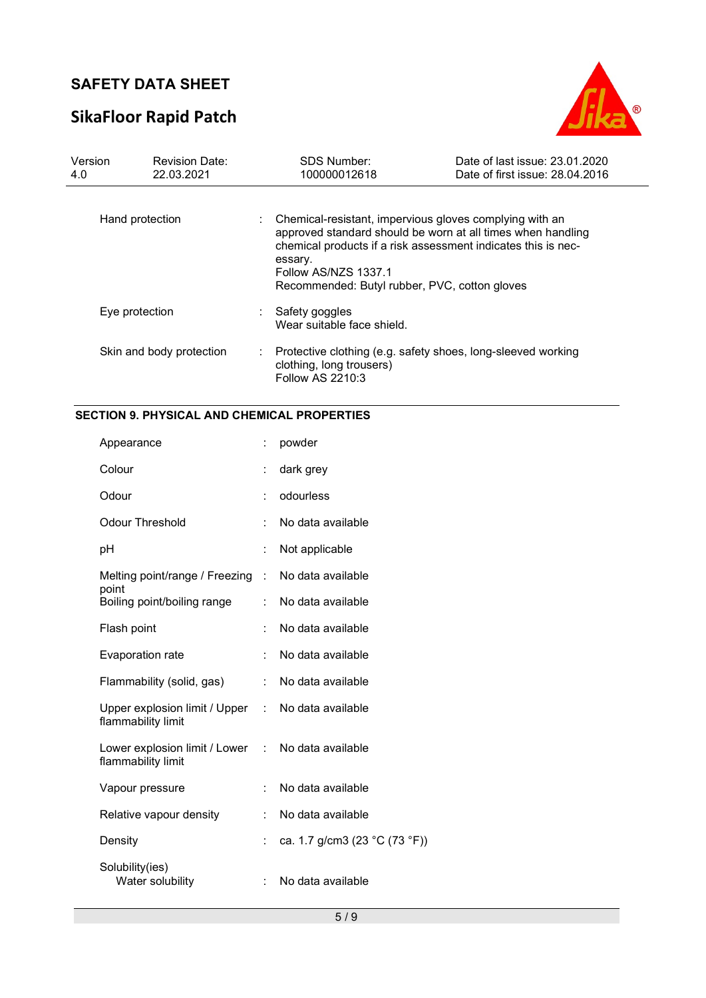# SikaFloor Rapid Patch



| Version<br>4.0  | <b>Revision Date:</b><br>22.03.2021 |    | <b>SDS Number:</b><br>100000012618                                                                                                                                                                                                                                          | Date of last issue: 23.01.2020<br>Date of first issue: 28.04.2016 |
|-----------------|-------------------------------------|----|-----------------------------------------------------------------------------------------------------------------------------------------------------------------------------------------------------------------------------------------------------------------------------|-------------------------------------------------------------------|
| Hand protection |                                     |    | Chemical-resistant, impervious gloves complying with an<br>approved standard should be worn at all times when handling<br>chemical products if a risk assessment indicates this is nec-<br>essary.<br>Follow AS/NZS 1337.1<br>Recommended: Butyl rubber, PVC, cotton gloves |                                                                   |
|                 | Eye protection                      |    | Safety goggles<br>Wear suitable face shield.                                                                                                                                                                                                                                |                                                                   |
|                 | Skin and body protection            | ÷. | Protective clothing (e.g. safety shoes, long-sleeved working<br>clothing, long trousers)<br>Follow AS 2210:3                                                                                                                                                                |                                                                   |

### SECTION 9. PHYSICAL AND CHEMICAL PROPERTIES

| Appearance                                                              |                           | powder                        |
|-------------------------------------------------------------------------|---------------------------|-------------------------------|
| Colour                                                                  | İ.                        | dark grey                     |
| Odour                                                                   | İ.                        | odourless                     |
| <b>Odour Threshold</b>                                                  |                           | No data available             |
| рH                                                                      | $\ddot{\cdot}$            | Not applicable                |
| Melting point/range / Freezing<br>point                                 | $\mathbb{R}^{\mathbb{Z}}$ | No data available             |
| Boiling point/boiling range                                             | ÷                         | No data available             |
| Flash point                                                             | $\ddot{\cdot}$            | No data available             |
| Evaporation rate                                                        | ÷.                        | No data available             |
| Flammability (solid, gas)                                               | ÷.                        | No data available             |
| Upper explosion limit / Upper :<br>flammability limit                   |                           | No data available             |
| Lower explosion limit / Lower : No data available<br>flammability limit |                           |                               |
| Vapour pressure                                                         | $\ddot{\phantom{a}}$      | No data available             |
| Relative vapour density                                                 | ÷.                        | No data available             |
| Density                                                                 | $\ddot{\phantom{a}}$      | ca. 1.7 g/cm3 (23 °C (73 °F)) |
| Solubility(ies)<br>Water solubility                                     | İ.                        | No data available             |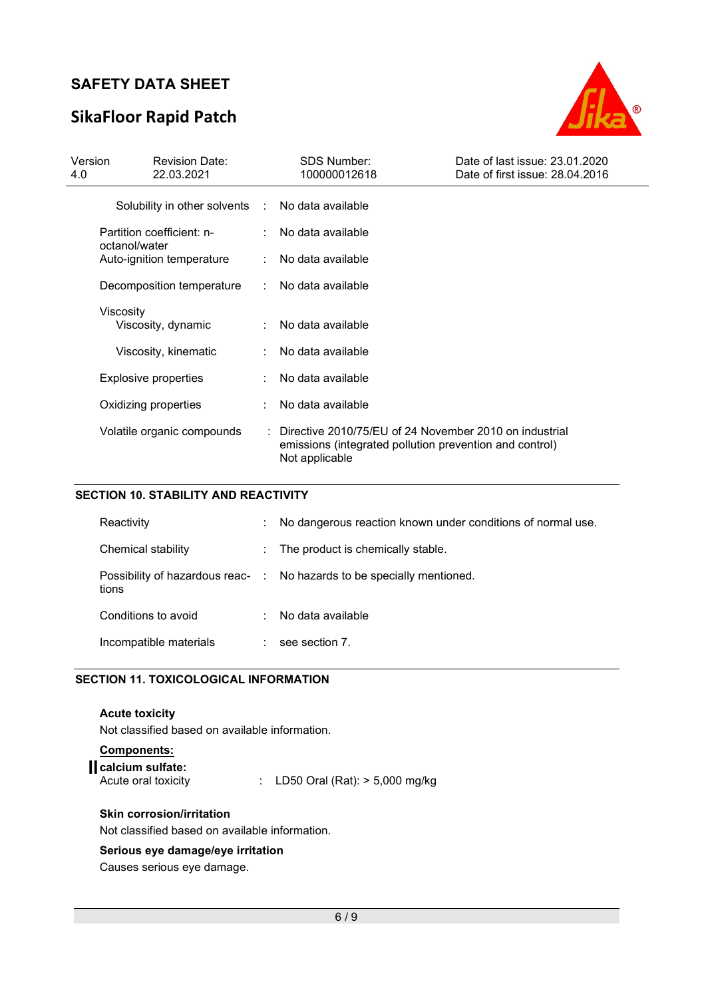# SikaFloor Rapid Patch



| Version<br>4.0                             | <b>Revision Date:</b><br>22.03.2021 |  | <b>SDS Number:</b><br>100000012618                                                                                                               | Date of last issue: 23.01.2020<br>Date of first issue: 28.04.2016 |
|--------------------------------------------|-------------------------------------|--|--------------------------------------------------------------------------------------------------------------------------------------------------|-------------------------------------------------------------------|
|                                            | Solubility in other solvents :      |  | No data available                                                                                                                                |                                                                   |
| Partition coefficient: n-<br>octanol/water |                                     |  | No data available                                                                                                                                |                                                                   |
|                                            | Auto-ignition temperature           |  | No data available                                                                                                                                |                                                                   |
|                                            | Decomposition temperature           |  | No data available<br>$\mathcal{L}_{\mathrm{max}}$                                                                                                |                                                                   |
|                                            | Viscosity<br>Viscosity, dynamic     |  | No data available                                                                                                                                |                                                                   |
|                                            | Viscosity, kinematic                |  | No data available                                                                                                                                |                                                                   |
|                                            | Explosive properties                |  | No data available                                                                                                                                |                                                                   |
|                                            | Oxidizing properties                |  | No data available                                                                                                                                |                                                                   |
|                                            | Volatile organic compounds          |  | $\therefore$ Directive 2010/75/EU of 24 November 2010 on industrial<br>emissions (integrated pollution prevention and control)<br>Not applicable |                                                                   |

### SECTION 10. STABILITY AND REACTIVITY

| Reactivity                                | ÷    | No dangerous reaction known under conditions of normal use. |
|-------------------------------------------|------|-------------------------------------------------------------|
| Chemical stability                        | t in | The product is chemically stable.                           |
| Possibility of hazardous reac- :<br>tions |      | No hazards to be specially mentioned.                       |
| Conditions to avoid                       | ٠    | No data available                                           |
| Incompatible materials                    | ÷    | see section 7.                                              |

#### SECTION 11. TOXICOLOGICAL INFORMATION

Acute toxicity Not classified based on available information. Components:

| <b>COMPORTER</b>                        |                                    |
|-----------------------------------------|------------------------------------|
| calcium sulfate:<br>Acute oral toxicity | : LD50 Oral (Rat): $> 5,000$ mg/kg |
|                                         |                                    |

#### Skin corrosion/irritation

Not classified based on available information.

### Serious eye damage/eye irritation

Causes serious eye damage.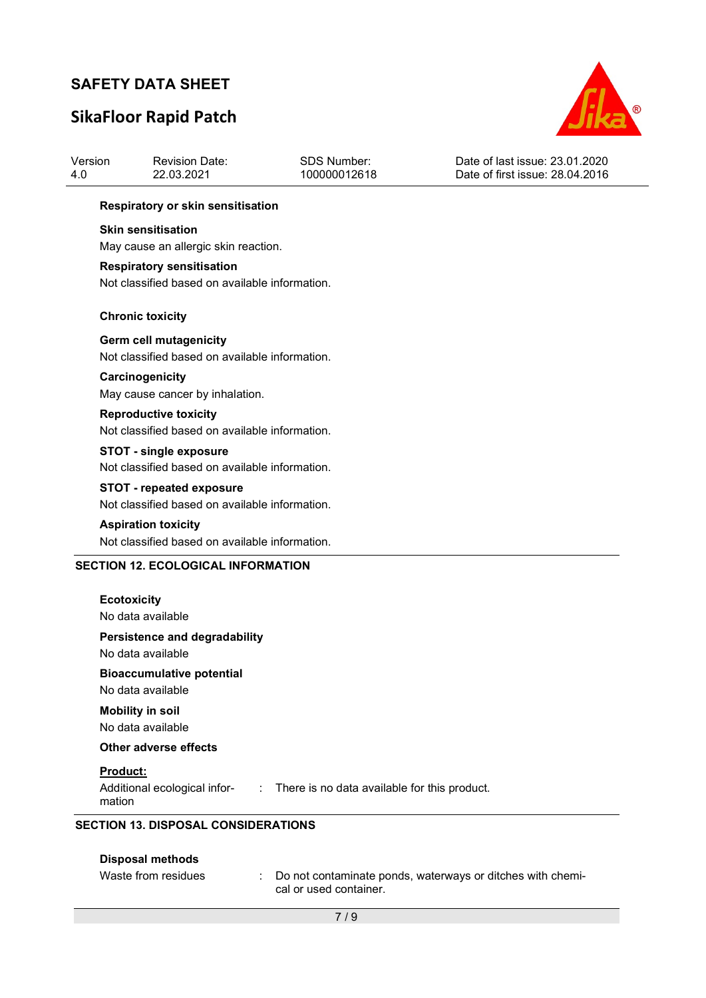# SikaFloor Rapid Patch



| Version<br>4.0 | <b>Revision Date:</b><br>22.03.2021                                                | <b>SDS Number:</b><br>100000012618 | Date of last issue: 23.01.2020<br>Date of first issue: 28.04.2016 |  |  |
|----------------|------------------------------------------------------------------------------------|------------------------------------|-------------------------------------------------------------------|--|--|
|                | Respiratory or skin sensitisation                                                  |                                    |                                                                   |  |  |
|                | <b>Skin sensitisation</b><br>May cause an allergic skin reaction.                  |                                    |                                                                   |  |  |
|                | <b>Respiratory sensitisation</b><br>Not classified based on available information. |                                    |                                                                   |  |  |
|                | <b>Chronic toxicity</b>                                                            |                                    |                                                                   |  |  |
|                | Germ cell mutagenicity<br>Not classified based on available information.           |                                    |                                                                   |  |  |
|                | Carcinogenicity<br>May cause cancer by inhalation.                                 |                                    |                                                                   |  |  |
|                | <b>Reproductive toxicity</b><br>Not classified based on available information.     |                                    |                                                                   |  |  |
|                | <b>STOT - single exposure</b><br>Not classified based on available information.    |                                    |                                                                   |  |  |
|                | <b>STOT - repeated exposure</b><br>Not classified based on available information.  |                                    |                                                                   |  |  |
|                | <b>Aspiration toxicity</b><br>Not classified based on available information.       |                                    |                                                                   |  |  |
|                | <b>SECTION 12. ECOLOGICAL INFORMATION</b>                                          |                                    |                                                                   |  |  |
|                | <b>Ecotoxicity</b><br>No data available                                            |                                    |                                                                   |  |  |
|                | <b>Persistence and degradability</b><br>No data available                          |                                    |                                                                   |  |  |
|                | <b>Bioaccumulative potential</b><br>No data available                              |                                    |                                                                   |  |  |
|                | <b>Mobility in soil</b><br>No data available                                       |                                    |                                                                   |  |  |
|                | <b>Other adverse effects</b>                                                       |                                    |                                                                   |  |  |
|                | Product:                                                                           |                                    |                                                                   |  |  |

#### SECTION 13. DISPOSAL CONSIDERATIONS

mation

| Disposal methods    |                                                                                        |
|---------------------|----------------------------------------------------------------------------------------|
| Waste from residues | : Do not contaminate ponds, waterways or ditches with chemi-<br>cal or used container. |

Additional ecological infor-: There is no data available for this product.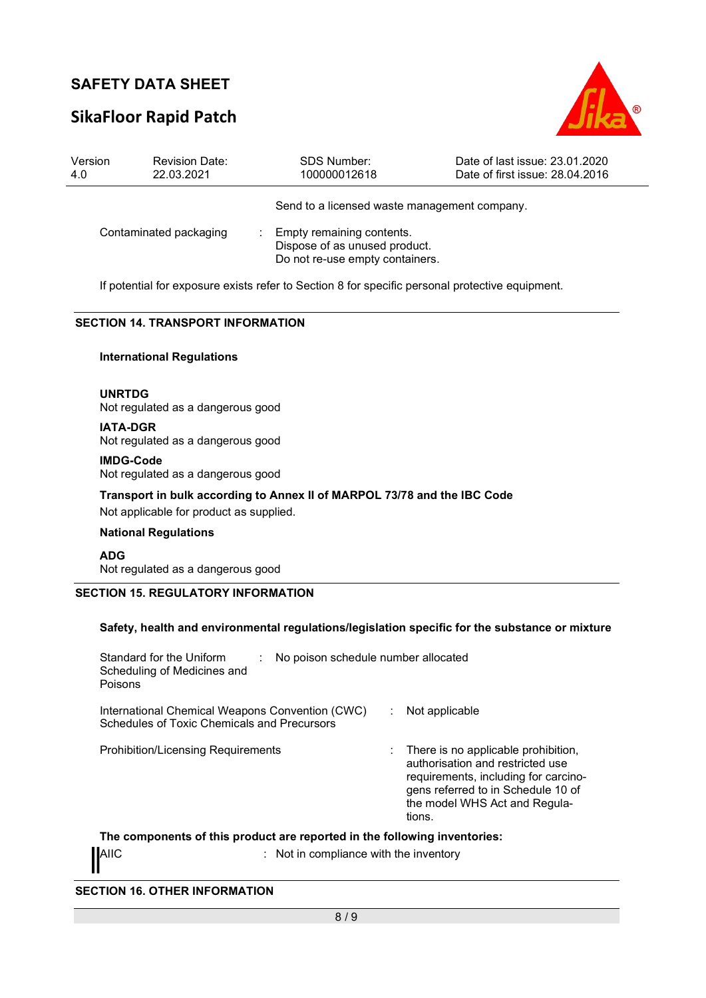## SikaFloor Rapid Patch



| Version<br>4.0 | <b>Revision Date:</b><br>22.03.2021                                                             | <b>SDS Number:</b><br>100000012618                                                            | Date of last issue: 23.01.2020<br>Date of first issue: 28.04.2016 |  |  |
|----------------|-------------------------------------------------------------------------------------------------|-----------------------------------------------------------------------------------------------|-------------------------------------------------------------------|--|--|
|                |                                                                                                 | Send to a licensed waste management company.                                                  |                                                                   |  |  |
|                | Contaminated packaging                                                                          | Empty remaining contents.<br>Dispose of as unused product.<br>Do not re-use empty containers. |                                                                   |  |  |
|                | If potential for exposure exists refer to Section 8 for specific personal protective equipment. |                                                                                               |                                                                   |  |  |

#### SECTION 14. TRANSPORT INFORMATION

#### International Regulations

UNRTDG Not regulated as a dangerous good

IATA-DGR Not regulated as a dangerous good

IMDG-Code Not regulated as a dangerous good

Transport in bulk according to Annex II of MARPOL 73/78 and the IBC Code

Not applicable for product as supplied.

#### National Regulations

ADG Not regulated as a dangerous good

#### SECTION 15. REGULATORY INFORMATION

#### Safety, health and environmental regulations/legislation specific for the substance or mixture

| Standard for the Uniform<br>Scheduling of Medicines and<br>Poisons                             | No poison schedule number allocated                                                                                                                                                                                |
|------------------------------------------------------------------------------------------------|--------------------------------------------------------------------------------------------------------------------------------------------------------------------------------------------------------------------|
| International Chemical Weapons Convention (CWC)<br>Schedules of Toxic Chemicals and Precursors | Not applicable                                                                                                                                                                                                     |
| <b>Prohibition/Licensing Requirements</b>                                                      | There is no applicable prohibition,<br>$\mathbb{R}^n$<br>authorisation and restricted use<br>requirements, including for carcino-<br>gens referred to in Schedule 10 of<br>the model WHS Act and Regula-<br>tions. |
| The components of this product are reported in the following inventories:                      |                                                                                                                                                                                                                    |

AIIC **interest in the interval of the inventory** : Not in compliance with the inventory

SECTION 16. OTHER INFORMATION